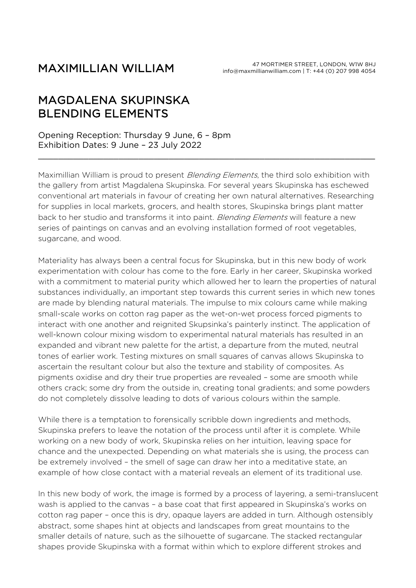## MAXIMILLIAN WILLIAM

## MAGDALENA SKUPINSKA BLENDING ELEMENTS

## Opening Reception: Thursday 9 June, 6 – 8pm Exhibition Dates: 9 June – 23 July 2022

Maximillian William is proud to present *Blending Elements*, the third solo exhibition with the gallery from artist Magdalena Skupinska. For several years Skupinska has eschewed conventional art materials in favour of creating her own natural alternatives. Researching for supplies in local markets, grocers, and health stores, Skupinska brings plant matter back to her studio and transforms it into paint. Blending Elements will feature a new series of paintings on canvas and an evolving installation formed of root vegetables, sugarcane, and wood.

\_\_\_\_\_\_\_\_\_\_\_\_\_\_\_\_\_\_\_\_\_\_\_\_\_\_\_\_\_\_\_\_\_\_\_\_\_\_\_\_\_\_\_\_\_\_\_\_\_\_\_\_\_\_\_\_\_\_\_\_\_\_\_\_\_\_\_

Materiality has always been a central focus for Skupinska, but in this new body of work experimentation with colour has come to the fore. Early in her career, Skupinska worked with a commitment to material purity which allowed her to learn the properties of natural substances individually, an important step towards this current series in which new tones are made by blending natural materials. The impulse to mix colours came while making small-scale works on cotton rag paper as the wet-on-wet process forced pigments to interact with one another and reignited Skupsinka's painterly instinct. The application of well-known colour mixing wisdom to experimental natural materials has resulted in an expanded and vibrant new palette for the artist, a departure from the muted, neutral tones of earlier work. Testing mixtures on small squares of canvas allows Skupinska to ascertain the resultant colour but also the texture and stability of composites. As pigments oxidise and dry their true properties are revealed – some are smooth while others crack; some dry from the outside in, creating tonal gradients; and some powders do not completely dissolve leading to dots of various colours within the sample.

While there is a temptation to forensically scribble down ingredients and methods, Skupinska prefers to leave the notation of the process until after it is complete. While working on a new body of work, Skupinska relies on her intuition, leaving space for chance and the unexpected. Depending on what materials she is using, the process can be extremely involved – the smell of sage can draw her into a meditative state, an example of how close contact with a material reveals an element of its traditional use.

In this new body of work, the image is formed by a process of layering, a semi-translucent wash is applied to the canvas – a base coat that first appeared in Skupinska's works on cotton rag paper – once this is dry, opaque layers are added in turn. Although ostensibly abstract, some shapes hint at objects and landscapes from great mountains to the smaller details of nature, such as the silhouette of sugarcane. The stacked rectangular shapes provide Skupinska with a format within which to explore different strokes and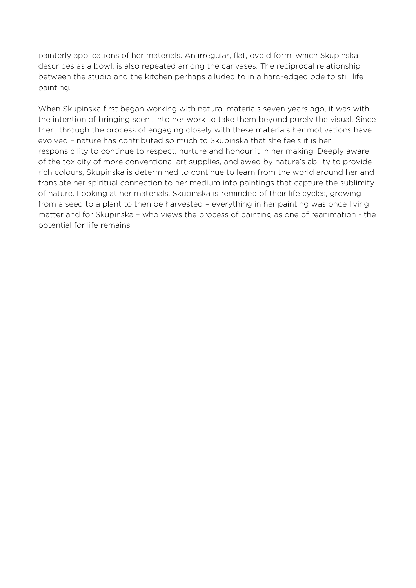painterly applications of her materials. An irregular, flat, ovoid form, which Skupinska describes as a bowl, is also repeated among the canvases. The reciprocal relationship between the studio and the kitchen perhaps alluded to in a hard-edged ode to still life painting.

When Skupinska first began working with natural materials seven years ago, it was with the intention of bringing scent into her work to take them beyond purely the visual. Since then, through the process of engaging closely with these materials her motivations have evolved – nature has contributed so much to Skupinska that she feels it is her responsibility to continue to respect, nurture and honour it in her making. Deeply aware of the toxicity of more conventional art supplies, and awed by nature's ability to provide rich colours, Skupinska is determined to continue to learn from the world around her and translate her spiritual connection to her medium into paintings that capture the sublimity of nature. Looking at her materials, Skupinska is reminded of their life cycles, growing from a seed to a plant to then be harvested – everything in her painting was once living matter and for Skupinska – who views the process of painting as one of reanimation - the potential for life remains.